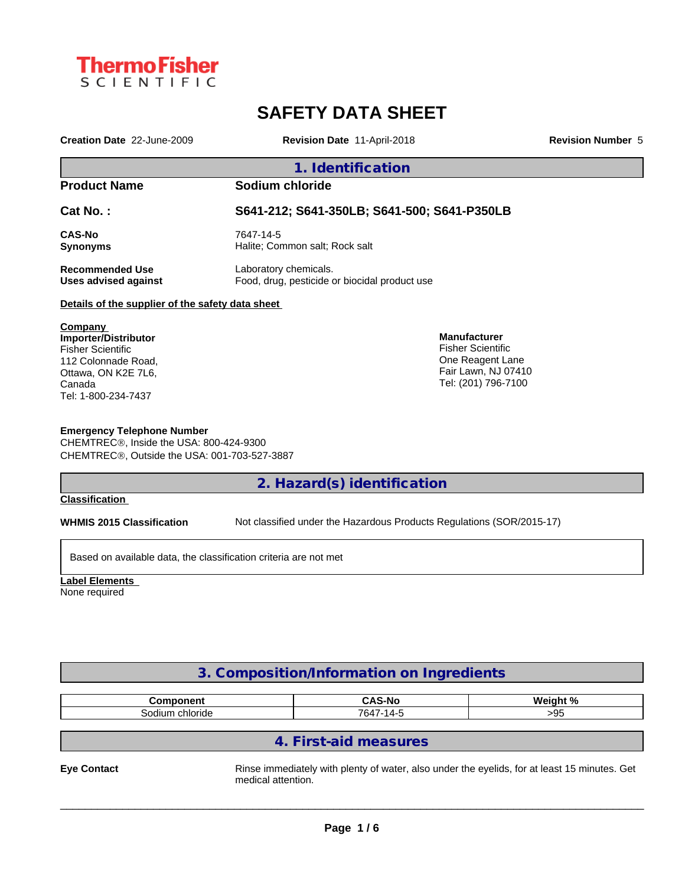

# **SAFETY DATA SHEET**

**Creation Date** 22-June-2009 **Revision Date** 11-April-2018 **Revision Number** 5

## **1. Identification**

# **Product Name Sodium chloride**

**Cat No. : S641-212; S641-350LB; S641-500; S641-P350LB**

**CAS-No** 7647-14-5<br> **Synonyms** Halite; Cor

**Synonyms** Halite; Common salt; Rock salt

**Recommended Use** Laboratory chemicals.

**Uses advised against** Food, drug, pesticide or biocidal product use

#### **Details of the supplier of the safety data sheet**

**Company Importer/Distributor** Fisher Scientific 112 Colonnade Road, Ottawa, ON K2E 7L6, Canada Tel: 1-800-234-7437

#### **Emergency Telephone Number**

CHEMTREC®, Inside the USA: 800-424-9300 CHEMTREC®, Outside the USA: 001-703-527-3887

# **2. Hazard(s) identification**

**Classification**

**WHMIS 2015 Classification** Not classified under the Hazardous Products Regulations (SOR/2015-17)

**Manufacturer** Fisher Scientific One Reagent Lane Fair Lawn, NJ 07410 Tel: (201) 796-7100

Based on available data, the classification criteria are not met

**Label Elements** None required

# **3. Composition/Information on Ingredients**

| ---------<br>nm<br>nem | CAC.<br>S-No<br>- - | 1. N /<br>Wainh |
|------------------------|---------------------|-----------------|
| chloride               | 764.                | ١.              |
| Sodium                 | .                   | ∼∼              |

# **4. First-aid measures**

Eye Contact **Exercises** Rinse immediately with plenty of water, also under the eyelids, for at least 15 minutes. Get medical attention.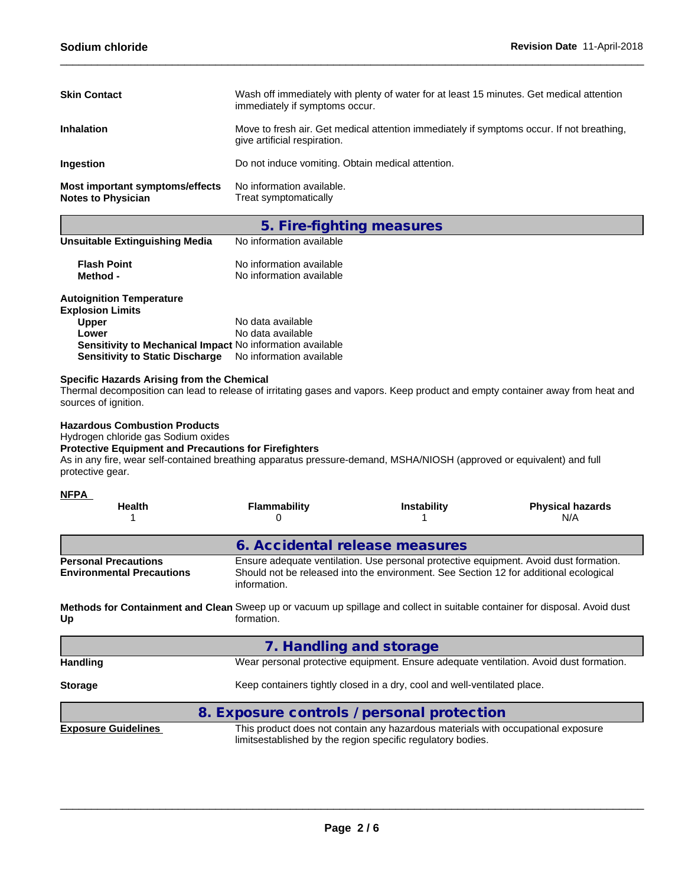| <b>Skin Contact</b>                                          | Wash off immediately with plenty of water for at least 15 minutes. Get medical attention<br>immediately if symptoms occur. |
|--------------------------------------------------------------|----------------------------------------------------------------------------------------------------------------------------|
| <b>Inhalation</b>                                            | Move to fresh air. Get medical attention immediately if symptoms occur. If not breathing,<br>give artificial respiration.  |
| <b>Ingestion</b>                                             | Do not induce vomiting. Obtain medical attention.                                                                          |
| Most important symptoms/effects<br><b>Notes to Physician</b> | No information available.<br>Treat symptomatically                                                                         |

|                                                           | 5. Fire-fighting measures                            |
|-----------------------------------------------------------|------------------------------------------------------|
| <b>Unsuitable Extinguishing Media</b>                     | No information available                             |
| <b>Flash Point</b><br>Method -                            | No information available<br>No information available |
| <b>Autoignition Temperature</b>                           |                                                      |
| <b>Explosion Limits</b>                                   |                                                      |
| <b>Upper</b>                                              | No data available                                    |
| Lower                                                     | No data available                                    |
| Sensitivity to Mechanical Impact No information available |                                                      |

## **Specific Hazards Arising from the Chemical**

Thermal decomposition can lead to release of irritating gases and vapors. Keep product and empty container away from heat and sources of ignition.

### **Hazardous Combustion Products**

Hydrogen chloride gas Sodium oxides

#### **Protective Equipment and Precautions for Firefighters**

As in any fire, wear self-contained breathing apparatus pressure-demand, MSHA/NIOSH (approved or equivalent) and full protective gear.

**Sensitivity to Static Discharge** No information available

#### **NFPA**

| <b>Health</b>                                                   | <b>Flammability</b>                                                                                                                       | <b>Instability</b>                                                                                                                              | <b>Physical hazards</b><br>N/A                                                         |
|-----------------------------------------------------------------|-------------------------------------------------------------------------------------------------------------------------------------------|-------------------------------------------------------------------------------------------------------------------------------------------------|----------------------------------------------------------------------------------------|
|                                                                 | 6. Accidental release measures                                                                                                            |                                                                                                                                                 |                                                                                        |
| <b>Personal Precautions</b><br><b>Environmental Precautions</b> | information.                                                                                                                              | Should not be released into the environment. See Section 12 for additional ecological                                                           | Ensure adequate ventilation. Use personal protective equipment. Avoid dust formation.  |
| Up                                                              | Methods for Containment and Clean Sweep up or vacuum up spillage and collect in suitable container for disposal. Avoid dust<br>formation. |                                                                                                                                                 |                                                                                        |
|                                                                 | 7. Handling and storage                                                                                                                   |                                                                                                                                                 |                                                                                        |
| <b>Handling</b>                                                 |                                                                                                                                           |                                                                                                                                                 | Wear personal protective equipment. Ensure adequate ventilation. Avoid dust formation. |
| <b>Storage</b>                                                  |                                                                                                                                           | Keep containers tightly closed in a dry, cool and well-ventilated place.                                                                        |                                                                                        |
|                                                                 | 8. Exposure controls / personal protection                                                                                                |                                                                                                                                                 |                                                                                        |
| <b>Exposure Guidelines</b>                                      |                                                                                                                                           | This product does not contain any hazardous materials with occupational exposure<br>limitsestablished by the region specific regulatory bodies. |                                                                                        |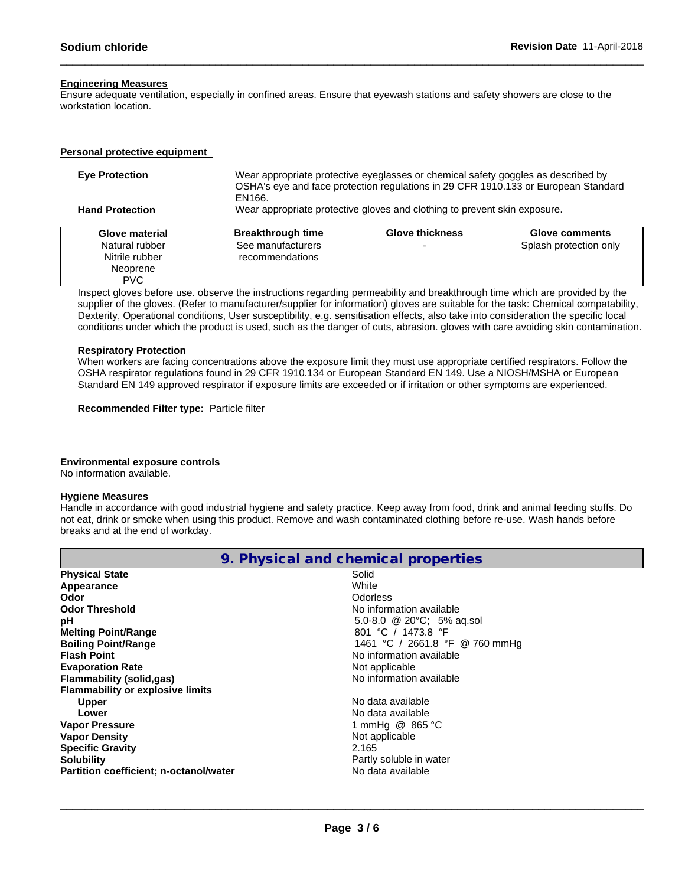#### **Engineering Measures**

Ensure adequate ventilation, especially in confined areas. Ensure that eyewash stations and safety showers are close to the workstation location.

#### **Personal protective equipment**

| <b>Eve Protection</b>  | EN166.                   | Wear appropriate protective eyeglasses or chemical safety goggles as described by<br>OSHA's eye and face protection regulations in 29 CFR 1910.133 or European Standard |                        |  |  |  |  |  |
|------------------------|--------------------------|-------------------------------------------------------------------------------------------------------------------------------------------------------------------------|------------------------|--|--|--|--|--|
| <b>Hand Protection</b> |                          | Wear appropriate protective gloves and clothing to prevent skin exposure.                                                                                               |                        |  |  |  |  |  |
| Glove material         | <b>Breakthrough time</b> | <b>Glove thickness</b>                                                                                                                                                  | Glove comments         |  |  |  |  |  |
| Natural rubber         | See manufacturers        | $\overline{\phantom{a}}$                                                                                                                                                | Splash protection only |  |  |  |  |  |
| Nitrile rubber         | recommendations          |                                                                                                                                                                         |                        |  |  |  |  |  |
| Neoprene               |                          |                                                                                                                                                                         |                        |  |  |  |  |  |
| <b>PVC</b>             |                          |                                                                                                                                                                         |                        |  |  |  |  |  |

Inspect gloves before use. observe the instructions regarding permeability and breakthrough time which are provided by the supplier of the gloves. (Refer to manufacturer/supplier for information) gloves are suitable for the task: Chemical compatability, Dexterity, Operational conditions, User susceptibility, e.g. sensitisation effects, also take into consideration the specific local conditions under which the product is used, such as the danger of cuts, abrasion. gloves with care avoiding skin contamination.

#### **Respiratory Protection**

When workers are facing concentrations above the exposure limit they must use appropriate certified respirators. Follow the OSHA respirator regulations found in 29 CFR 1910.134 or European Standard EN 149. Use a NIOSH/MSHA or European Standard EN 149 approved respirator if exposure limits are exceeded or if irritation or other symptoms are experienced.

**Recommended Filter type:** Particle filter

#### **Environmental exposure controls**

No information available.

#### **Hygiene Measures**

Handle in accordance with good industrial hygiene and safety practice. Keep away from food, drink and animal feeding stuffs. Do not eat, drink or smoke when using this product. Remove and wash contaminated clothing before re-use. Wash hands before breaks and at the end of workday.

|                                         | 9. Physical and chemical properties |  |
|-----------------------------------------|-------------------------------------|--|
| <b>Physical State</b>                   | Solid                               |  |
| Appearance                              | White                               |  |
| Odor                                    | Odorless                            |  |
| <b>Odor Threshold</b>                   | No information available            |  |
| рH                                      | 5.0-8.0 @ 20°C; 5% ag.sol           |  |
| <b>Melting Point/Range</b>              | 801 °C / 1473.8 °F                  |  |
| <b>Boiling Point/Range</b>              | 1461 °C / 2661.8 °F @ 760 mmHg      |  |
| <b>Flash Point</b>                      | No information available            |  |
| <b>Evaporation Rate</b>                 | Not applicable                      |  |
| <b>Flammability (solid,gas)</b>         | No information available            |  |
| <b>Flammability or explosive limits</b> |                                     |  |
| <b>Upper</b>                            | No data available                   |  |
| Lower                                   | No data available                   |  |
| <b>Vapor Pressure</b>                   | 1 mmHg @ 865 °C                     |  |
| <b>Vapor Density</b>                    | Not applicable                      |  |
| <b>Specific Gravity</b>                 | 2.165                               |  |
| <b>Solubility</b>                       | Partly soluble in water             |  |
| Partition coefficient; n-octanol/water  | No data available                   |  |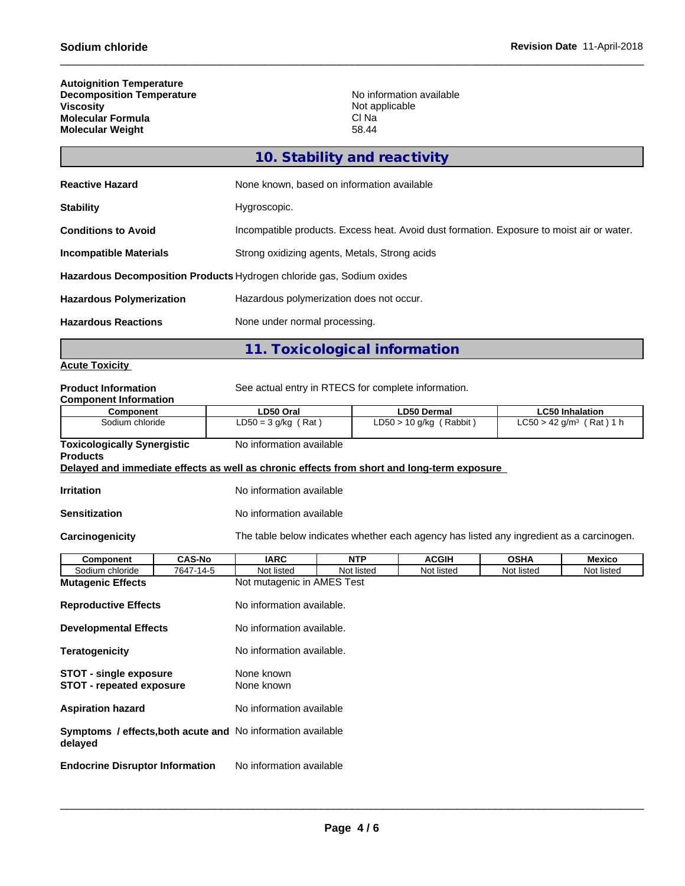**The Common** 

| <b>Autoignition Temperature</b>  |                          |
|----------------------------------|--------------------------|
| <b>Decomposition Temperature</b> | No information available |
| Viscositv                        | Not applicable           |
| <b>Molecular Formula</b>         | CI Na                    |
| <b>Molecular Weight</b>          | 58.44                    |

|                                 | 10. Stability and reactivity                                                              |
|---------------------------------|-------------------------------------------------------------------------------------------|
| <b>Reactive Hazard</b>          | None known, based on information available                                                |
| <b>Stability</b>                | Hygroscopic.                                                                              |
| <b>Conditions to Avoid</b>      | Incompatible products. Excess heat. Avoid dust formation. Exposure to moist air or water. |
| <b>Incompatible Materials</b>   | Strong oxidizing agents, Metals, Strong acids                                             |
|                                 | Hazardous Decomposition Products Hydrogen chloride gas, Sodium oxides                     |
| <b>Hazardous Polymerization</b> | Hazardous polymerization does not occur.                                                  |
| <b>Hazardous Reactions</b>      | None under normal processing.                                                             |
|                                 |                                                                                           |

**11. Toxicological information**

### **Acute Toxicity**

| LD50 Oral<br><b>LD50 Dermal</b><br><b>LC50 Inhalation</b><br>Component<br>Sodium chloride<br>$LD50 = 3 g/kg (Rat)$<br>$LD50 > 10$ g/kg (Rabbit)<br>No information available<br><b>Toxicologically Synergistic</b><br>Delayed and immediate effects as well as chronic effects from short and long-term exposure<br>No information available<br>No information available<br>The table below indicates whether each agency has listed any ingredient as a carcinogen.<br><b>IARC</b><br><b>CAS-No</b><br><b>NTP</b><br><b>ACGIH</b><br><b>OSHA</b><br>Component<br><b>Mexico</b><br>Sodium chloride<br>7647-14-5<br>Not listed<br>Not listed<br>Not listed<br>Not listed<br>Not listed<br>Not mutagenic in AMES Test<br><b>Reproductive Effects</b><br>No information available.<br>No information available.<br>No information available.<br>None known<br><b>STOT - single exposure</b><br><b>STOT - repeated exposure</b><br>None known<br>No information available<br><b>Symptoms / effects, both acute and No information available</b><br>No information available<br><b>Endocrine Disruptor Information</b> | <b>Product Information</b><br><b>Component Information</b> |                              | See actual entry in RTECS for complete information. |  |  |  |                                        |  |  |  |  |  |
|------------------------------------------------------------------------------------------------------------------------------------------------------------------------------------------------------------------------------------------------------------------------------------------------------------------------------------------------------------------------------------------------------------------------------------------------------------------------------------------------------------------------------------------------------------------------------------------------------------------------------------------------------------------------------------------------------------------------------------------------------------------------------------------------------------------------------------------------------------------------------------------------------------------------------------------------------------------------------------------------------------------------------------------------------------------------------------------------------------------|------------------------------------------------------------|------------------------------|-----------------------------------------------------|--|--|--|----------------------------------------|--|--|--|--|--|
|                                                                                                                                                                                                                                                                                                                                                                                                                                                                                                                                                                                                                                                                                                                                                                                                                                                                                                                                                                                                                                                                                                                  |                                                            |                              |                                                     |  |  |  |                                        |  |  |  |  |  |
|                                                                                                                                                                                                                                                                                                                                                                                                                                                                                                                                                                                                                                                                                                                                                                                                                                                                                                                                                                                                                                                                                                                  |                                                            |                              |                                                     |  |  |  | $LC50 > 42$ g/m <sup>3</sup> (Rat) 1 h |  |  |  |  |  |
|                                                                                                                                                                                                                                                                                                                                                                                                                                                                                                                                                                                                                                                                                                                                                                                                                                                                                                                                                                                                                                                                                                                  | <b>Products</b>                                            |                              |                                                     |  |  |  |                                        |  |  |  |  |  |
|                                                                                                                                                                                                                                                                                                                                                                                                                                                                                                                                                                                                                                                                                                                                                                                                                                                                                                                                                                                                                                                                                                                  |                                                            |                              |                                                     |  |  |  |                                        |  |  |  |  |  |
|                                                                                                                                                                                                                                                                                                                                                                                                                                                                                                                                                                                                                                                                                                                                                                                                                                                                                                                                                                                                                                                                                                                  | <b>Irritation</b>                                          |                              |                                                     |  |  |  |                                        |  |  |  |  |  |
|                                                                                                                                                                                                                                                                                                                                                                                                                                                                                                                                                                                                                                                                                                                                                                                                                                                                                                                                                                                                                                                                                                                  | <b>Sensitization</b>                                       |                              |                                                     |  |  |  |                                        |  |  |  |  |  |
|                                                                                                                                                                                                                                                                                                                                                                                                                                                                                                                                                                                                                                                                                                                                                                                                                                                                                                                                                                                                                                                                                                                  | Carcinogenicity                                            |                              |                                                     |  |  |  |                                        |  |  |  |  |  |
|                                                                                                                                                                                                                                                                                                                                                                                                                                                                                                                                                                                                                                                                                                                                                                                                                                                                                                                                                                                                                                                                                                                  |                                                            |                              |                                                     |  |  |  |                                        |  |  |  |  |  |
|                                                                                                                                                                                                                                                                                                                                                                                                                                                                                                                                                                                                                                                                                                                                                                                                                                                                                                                                                                                                                                                                                                                  |                                                            |                              |                                                     |  |  |  |                                        |  |  |  |  |  |
|                                                                                                                                                                                                                                                                                                                                                                                                                                                                                                                                                                                                                                                                                                                                                                                                                                                                                                                                                                                                                                                                                                                  | <b>Mutagenic Effects</b>                                   |                              |                                                     |  |  |  |                                        |  |  |  |  |  |
|                                                                                                                                                                                                                                                                                                                                                                                                                                                                                                                                                                                                                                                                                                                                                                                                                                                                                                                                                                                                                                                                                                                  |                                                            |                              |                                                     |  |  |  |                                        |  |  |  |  |  |
|                                                                                                                                                                                                                                                                                                                                                                                                                                                                                                                                                                                                                                                                                                                                                                                                                                                                                                                                                                                                                                                                                                                  |                                                            | <b>Developmental Effects</b> |                                                     |  |  |  |                                        |  |  |  |  |  |
|                                                                                                                                                                                                                                                                                                                                                                                                                                                                                                                                                                                                                                                                                                                                                                                                                                                                                                                                                                                                                                                                                                                  | <b>Teratogenicity</b>                                      |                              |                                                     |  |  |  |                                        |  |  |  |  |  |
|                                                                                                                                                                                                                                                                                                                                                                                                                                                                                                                                                                                                                                                                                                                                                                                                                                                                                                                                                                                                                                                                                                                  |                                                            |                              |                                                     |  |  |  |                                        |  |  |  |  |  |
|                                                                                                                                                                                                                                                                                                                                                                                                                                                                                                                                                                                                                                                                                                                                                                                                                                                                                                                                                                                                                                                                                                                  | <b>Aspiration hazard</b>                                   |                              |                                                     |  |  |  |                                        |  |  |  |  |  |
|                                                                                                                                                                                                                                                                                                                                                                                                                                                                                                                                                                                                                                                                                                                                                                                                                                                                                                                                                                                                                                                                                                                  | delayed                                                    |                              |                                                     |  |  |  |                                        |  |  |  |  |  |
|                                                                                                                                                                                                                                                                                                                                                                                                                                                                                                                                                                                                                                                                                                                                                                                                                                                                                                                                                                                                                                                                                                                  |                                                            |                              |                                                     |  |  |  |                                        |  |  |  |  |  |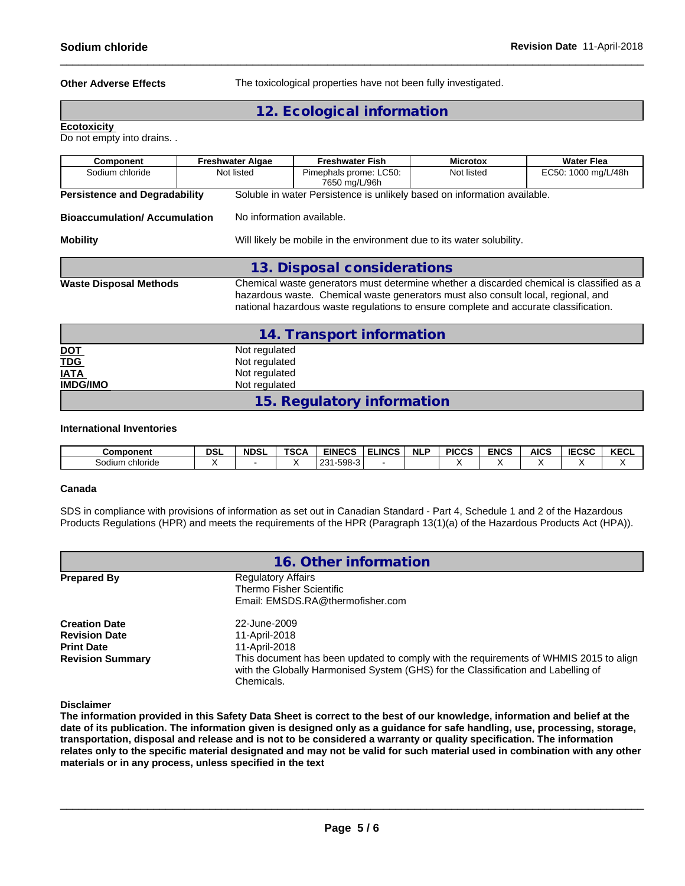**Other Adverse Effects** The toxicological properties have not been fully investigated.

# **12. Ecological information**

**Ecotoxicity** 

Do not empty into drains. .

| <b>Component</b>                     | <b>Freshwater Algae</b>   | <b>Freshwater Fish</b>                                                                                                                                                    | <b>Microtox</b> | <b>Water Flea</b>                                                                        |  |  |
|--------------------------------------|---------------------------|---------------------------------------------------------------------------------------------------------------------------------------------------------------------------|-----------------|------------------------------------------------------------------------------------------|--|--|
| Sodium chloride                      | Not listed                | Pimephals prome: LC50:<br>7650 mg/L/96h                                                                                                                                   | Not listed      | EC50: 1000 mg/L/48h                                                                      |  |  |
| <b>Persistence and Degradability</b> |                           | Soluble in water Persistence is unlikely based on information available.                                                                                                  |                 |                                                                                          |  |  |
| <b>Bioaccumulation/Accumulation</b>  | No information available. |                                                                                                                                                                           |                 |                                                                                          |  |  |
| <b>Mobility</b>                      |                           | Will likely be mobile in the environment due to its water solubility.                                                                                                     |                 |                                                                                          |  |  |
|                                      |                           | 13. Disposal considerations                                                                                                                                               |                 |                                                                                          |  |  |
| <b>Waste Disposal Methods</b>        |                           | hazardous waste. Chemical waste generators must also consult local, regional, and<br>national hazardous waste regulations to ensure complete and accurate classification. |                 | Chemical waste generators must determine whether a discarded chemical is classified as a |  |  |
|                                      |                           | 14. Transport information                                                                                                                                                 |                 |                                                                                          |  |  |
| <b>DOT</b>                           | Not regulated             |                                                                                                                                                                           |                 |                                                                                          |  |  |
| <b>TDG</b>                           | Not regulated             |                                                                                                                                                                           |                 |                                                                                          |  |  |
| <b>IATA</b>                          | Not regulated             |                                                                                                                                                                           |                 |                                                                                          |  |  |
| <b>IMDG/IMO</b>                      | Not regulated             |                                                                                                                                                                           |                 |                                                                                          |  |  |

# **15. Regulatory information**

#### **International Inventories**

| Component           | <b>DSL</b> | <b>NDSL</b> | TCO.<br>. .<br>ື | <b>EINECS</b>                   | ELINCS | <b>NLP</b> | <b>PICCS</b> | <b>ENCS</b> | <b>AICS</b> | IFAAA<br>o<br>∼ | $V = 0$<br>KECL |
|---------------------|------------|-------------|------------------|---------------------------------|--------|------------|--------------|-------------|-------------|-----------------|-----------------|
| ⊧chloride<br>Sodium |            |             |                  | 508.3<br>ດດ4<br>ึงฮบ<br>$\cdot$ |        |            |              |             |             |                 |                 |

#### **Canada**

SDS in compliance with provisions of information as set out in Canadian Standard - Part 4, Schedule 1 and 2 of the Hazardous Products Regulations (HPR) and meets the requirements of the HPR (Paragraph 13(1)(a) of the Hazardous Products Act (HPA)).

|                                              | 16. Other information                                                                                                                                                                    |
|----------------------------------------------|------------------------------------------------------------------------------------------------------------------------------------------------------------------------------------------|
| <b>Prepared By</b>                           | <b>Regulatory Affairs</b><br>Thermo Fisher Scientific<br>Email: EMSDS.RA@thermofisher.com                                                                                                |
| <b>Creation Date</b><br><b>Revision Date</b> | 22-June-2009<br>11-April-2018                                                                                                                                                            |
| <b>Print Date</b>                            | 11-April-2018                                                                                                                                                                            |
| <b>Revision Summary</b>                      | This document has been updated to comply with the requirements of WHMIS 2015 to align<br>with the Globally Harmonised System (GHS) for the Classification and Labelling of<br>Chemicals. |

**Disclaimer**

The information provided in this Safety Data Sheet is correct to the best of our knowledge, information and belief at the date of its publication. The information given is designed only as a guidance for safe handling, use, processing, storage, transportation, disposal and release and is not to be considered a warranty or quality specification. The information relates only to the specific material designated and may not be valid for such material used in combination with any other **materials or in any process,unless specified in the text**